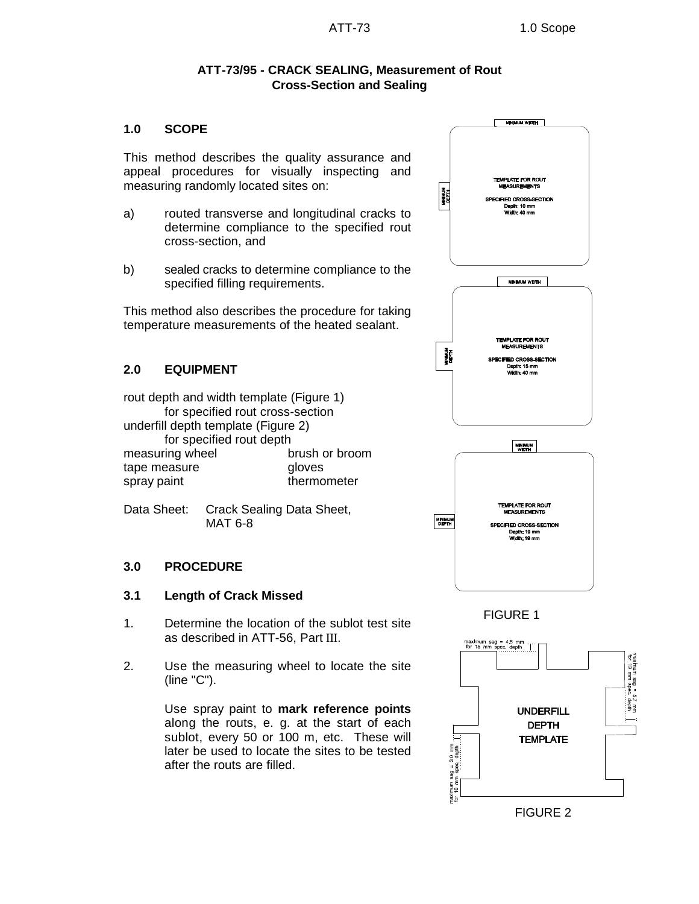## **ATT-73/95 - CRACK SEALING, Measurement of Rout Cross-Section and Sealing**

## **1.0 SCOPE**

This method describes the quality assurance and appeal procedures for visually inspecting and measuring randomly located sites on:

- a) routed transverse and longitudinal cracks to determine compliance to the specified rout cross-section, and
- b) sealed cracks to determine compliance to the specified filling requirements.

This method also describes the procedure for taking temperature measurements of the heated sealant.

## **2.0 EQUIPMENT**

rout depth and width template (Figure 1) for specified rout cross-section underfill depth template (Figure 2) for specified rout depth measuring wheel brush or broom tape measure **gloves** spray paint thermometer

Data Sheet: Crack Sealing Data Sheet, MAT 6-8

#### **3.0 PROCEDURE**

#### **3.1 Length of Crack Missed**

- 1. Determine the location of the sublot test site as described in ATT-56, Part III.
- 2. Use the measuring wheel to locate the site (line "C").

Use spray paint to **mark reference points** along the routs, e. g. at the start of each sublot, every 50 or 100 m, etc. These will later be used to locate the sites to be tested after the routs are filled.



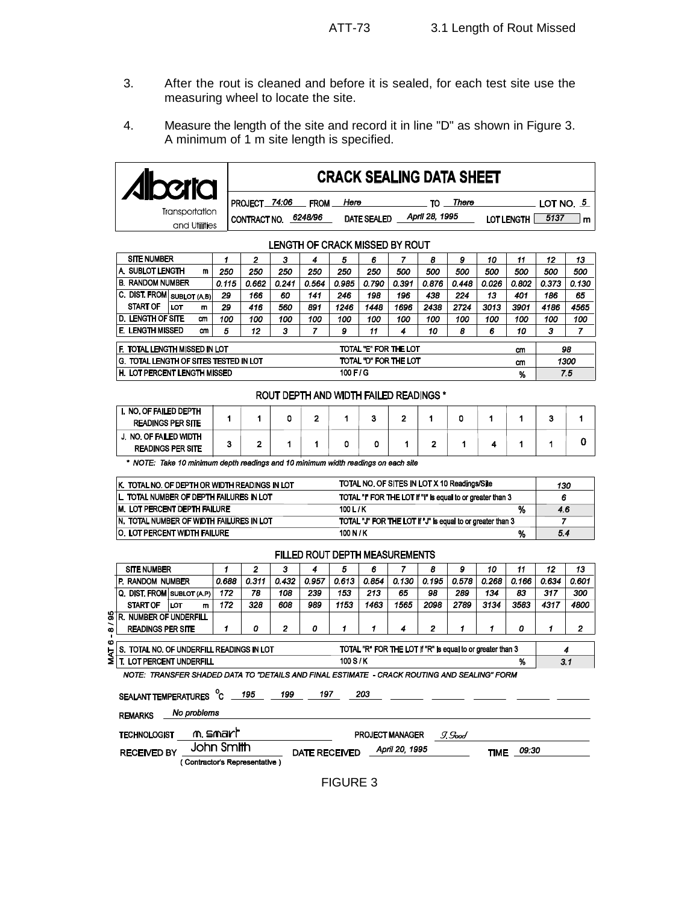- 3. After the rout is cleaned and before it is sealed, for each test site use the measuring wheel to locate the site.
- 4. Measure the length of the site and record it in line "D" as shown in Figure 3. A minimum of 1 m site length is specified.

|                                       |  | <b>CRACK SEALING DATA SHEET</b>       |       |                        |      |                    |  |                      |       |    |                   |                          |    |
|---------------------------------------|--|---------------------------------------|-------|------------------------|------|--------------------|--|----------------------|-------|----|-------------------|--------------------------|----|
| <b>Transportation</b><br>and Utlities |  | <b>PROJECT</b><br><b>CONTRACT NO.</b> | 74:06 | <b>FROM</b><br>6248/96 | Here | <b>DATE SEALED</b> |  | тი<br>April 28, 1995 | There |    | <b>LOT LENGTH</b> | LOT NO. <u>5</u><br>5137 | m  |
| <b>LENGTH OF CRACK MISSED BY ROUT</b> |  |                                       |       |                        |      |                    |  |                      |       |    |                   |                          |    |
| <b>SITE NUMBER</b>                    |  | 2                                     | з     |                        | 5    | 6                  |  | 8                    | 9     | 10 | 11                | 12                       | 13 |

|                                                                              |          |       |       |       | -             | v     |       |       |       | v     |       | . .   | . .   | ,,   |  |
|------------------------------------------------------------------------------|----------|-------|-------|-------|---------------|-------|-------|-------|-------|-------|-------|-------|-------|------|--|
| A. SUBLOT LENGTH                                                             | 250      | 250   | 250   | 250   | 250           | 250   | 500   | 500   | 500   | 500   | 500   | 500   | 500   |      |  |
| <b>B. RANDOM NUMBER</b>                                                      | 0.115    | 0.662 | 0.241 | 0.564 | 0.985         | 0.790 | 0.391 | 0.876 | 0.448 | 0.026 | 0.802 | 0.373 | 0.130 |      |  |
| <b>C. DIST. FROM</b> SUBLOT (AB)                                             |          | 29    | 166   | 60    | 141           | 246   | 198   | 196   | 438   | 224   | 13    | 401   | 186   | 65   |  |
| <b>START OF</b>                                                              | LOT<br>m | 29    | 416   | 560   | 891           | 1246  | 1448  | 1696  | 2438  | 2724  | 3013  | 3901  | 4186  | 4565 |  |
| <b>D. LENGTH OF SITE</b>                                                     | cm       | 100   | 100   | 100   | 100           | 100   | 100   | 100   | 100   | 100   | 100   | 100   | 100   | 100  |  |
| E. LENGTH MISSED<br>cm                                                       |          | 5     | 12    | 3     |               | 9     | 11    | 4     | 10    | 8     | 6     | 10    | з     | 7    |  |
| F. TOTAL LENGTH MISSED IN LOT<br>TOTAL "E" FOR THE LOT<br>cm                 |          |       |       |       |               |       |       |       |       |       |       |       | 98    |      |  |
| TOTAL "D" FOR THE LOT<br><b>G. TOTAL LENGTH OF SITES TESTED IN LOT</b><br>cm |          |       |       |       |               |       |       |       |       | 1300  |       |       |       |      |  |
| H. LOT PERCENT LENGTH MISSED                                                 |          |       |       |       | $100$ F $/$ G |       |       |       |       |       | %     |       |       | 7.5  |  |

#### ROUT DEPTH AND WIDTH FAILED READINGS \*

| I. NO. OF FAILED DEPTH<br><b>READINGS PER SITE</b> |  |  |  |   |  |  |  |
|----------------------------------------------------|--|--|--|---|--|--|--|
| J. NO. OF FAILED WIDTH<br><b>READINGS PER SITE</b> |  |  |  | - |  |  |  |

\* NOTE: Take 10 minimum depth readings and 10 minimum width readings on each site

| IK. TOTAL NO. OF DEPTH OR WIDTH READINGS IN LOT | TOTAL NO. OF SITES IN LOT X 10 Readings/Site               | 130 |
|-------------------------------------------------|------------------------------------------------------------|-----|
| IL. TOTAL NUMBER OF DEPTH FAILURES IN LOT       | TOTAL "I" FOR THE LOT if "I" is equal to or greater than 3 | 6   |
| <b>M. LOT PERCENT DEPTH FAILURE</b>             | 100 L / K<br>%                                             | 4.6 |
| IN. TOTAL NUMBER OF WIDTH FAILURES IN LOT       | TOTAL "J" FOR THE LOT if "J" is equal to or greater than 3 |     |
| <b>O. LOT PERCENT WIDTH FAILURE</b>             | 100 N / K<br>%                                             | 5.4 |

#### FILLED ROUT DEPTH MEASUREMENTS

|                | <b>SITE NUMBER</b>                                                                                   |                            |                            |       | 2     | з     | 4     | 5     | 6     |       | 8     | 9     | 10    | 11    | 12    | 13    |
|----------------|------------------------------------------------------------------------------------------------------|----------------------------|----------------------------|-------|-------|-------|-------|-------|-------|-------|-------|-------|-------|-------|-------|-------|
|                |                                                                                                      | IP. RANDOM NUMBER          |                            | 0.688 | 0.311 | 0.432 | 0.957 | 0.613 | 0.854 | 0.130 | 0.195 | 0.578 | 0.268 | 0.166 | 0.634 | 0.601 |
|                |                                                                                                      | Q. DIST. FROM SUBLOT (A.P) |                            | 172   | 78    | 108   | 239   | 153   | 213   | 65    | 98    | 289   | 134   | 83    | 317   | 300   |
|                |                                                                                                      | <b>START OF</b>            | LOT<br>m                   | 172   | 328   | 608   | 989   | 1153  | 1463  | 1565  | 2098  | 2789  | 3134  | 3583  | 4317  | 4800  |
| 81             | R                                                                                                    |                            | <b>NUMBER OF UNDERFILL</b> |       |       |       |       |       |       |       |       |       |       |       |       |       |
| ∽<br>$\bullet$ |                                                                                                      | <b>READINGS PER SITE</b>   |                            |       | 0     | 2     | 0     | 1     |       | 4     | 2     |       |       | 0     | 1     | 2     |
| ۰              |                                                                                                      |                            |                            |       |       |       |       |       |       |       |       |       |       |       |       |       |
| <b>TYM</b>     | TOTAL "R" FOR THE LOT if "R" is equal to or greater than 3<br>TOTAL NO. OF UNDERFILL READINGS IN LOT |                            |                            |       |       |       |       |       |       |       | 4     |       |       |       |       |       |
|                | 100 S/K<br>LOT PERCENT UNDERFILL<br>%                                                                |                            |                            |       |       |       |       |       |       |       |       | 3.1   |       |       |       |       |
|                | NOTE: TRANSFER SHADED DATA TO "DETAILS AND FINAL ESTIMATE - CRACK ROUTING AND SEALING" FORM          |                            |                            |       |       |       |       |       |       |       |       |       |       |       |       |       |

SEALANT TEMPERATURES C 195 199 197 203 No problems REMARKS m smart **TECHNOLOGIST** PROJECT MANAGER I. Sood John Smith TIME 09:30 April 20, 1995 **RECEIVED BY DATE RECEIVED** (Contractor's Representative)

FIGURE 3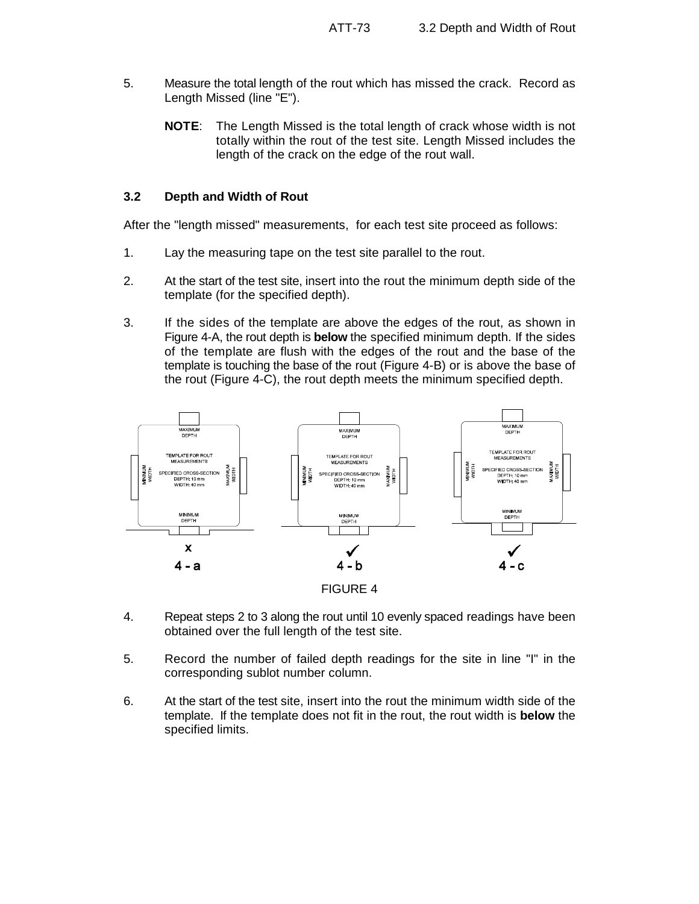- 5. Measure the total length of the rout which has missed the crack. Record as Length Missed (line "E").
	- **NOTE**: The Length Missed is the total length of crack whose width is not totally within the rout of the test site. Length Missed includes the length of the crack on the edge of the rout wall.

#### **3.2 Depth and Width of Rout**

After the "length missed" measurements, for each test site proceed as follows:

- 1. Lay the measuring tape on the test site parallel to the rout.
- 2. At the start of the test site, insert into the rout the minimum depth side of the template (for the specified depth).
- 3. If the sides of the template are above the edges of the rout, as shown in Figure 4-A, the rout depth is **below** the specified minimum depth. If the sides of the template are flush with the edges of the rout and the base of the template is touching the base of the rout (Figure 4-B) or is above the base of the rout (Figure 4-C), the rout depth meets the minimum specified depth.



- 4. Repeat steps 2 to 3 along the rout until 10 evenly spaced readings have been obtained over the full length of the test site.
- 5. Record the number of failed depth readings for the site in line "I" in the corresponding sublot number column.
- 6. At the start of the test site, insert into the rout the minimum width side of the template. If the template does not fit in the rout, the rout width is **below** the specified limits.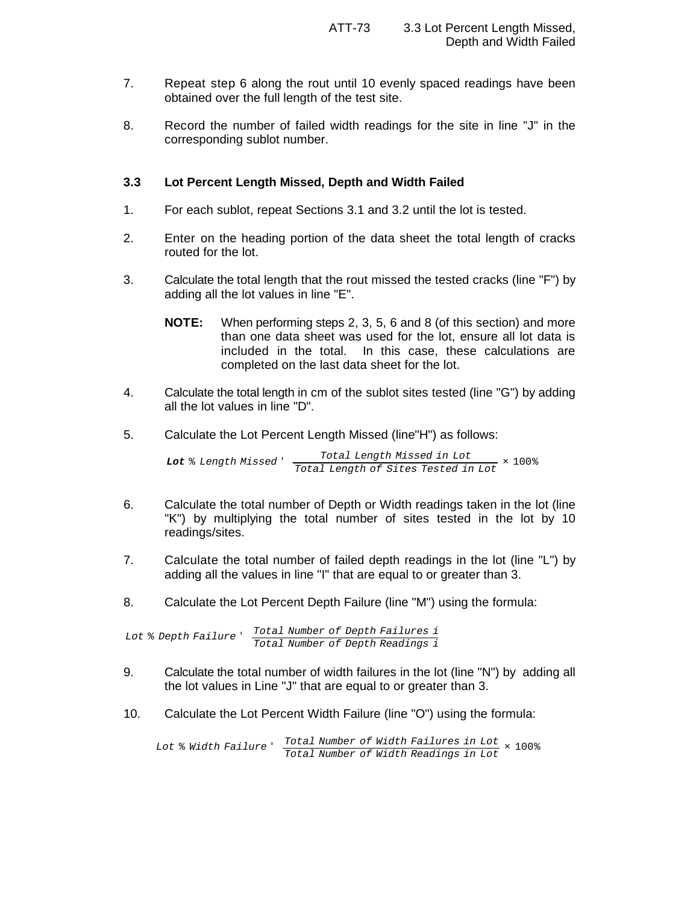- 7. Repeat step 6 along the rout until 10 evenly spaced readings have been obtained over the full length of the test site.
- 8. Record the number of failed width readings for the site in line "J" in the corresponding sublot number.

## **3.3 Lot Percent Length Missed, Depth and Width Failed**

- 1. For each sublot, repeat Sections 3.1 and 3.2 until the lot is tested.
- 2. Enter on the heading portion of the data sheet the total length of cracks routed for the lot.
- 3. Calculate the total length that the rout missed the tested cracks (line "F") by adding all the lot values in line "E".
	- **NOTE:** When performing steps 2, 3, 5, 6 and 8 (of this section) and more than one data sheet was used for the lot, ensure all lot data is included in the total. In this case, these calculations are completed on the last data sheet for the lot.
- 4. Calculate the total length in cm of the sublot sites tested (line "G") by adding all the lot values in line "D".
- 5. Calculate the Lot Percent Length Missed (line"H") as follows:

*Lot* % *Length Missed* ' *Total Length Missed in Lot Total Length of Sites Tested in Lot* × 100%

- 6. Calculate the total number of Depth or Width readings taken in the lot (line "K") by multiplying the total number of sites tested in the lot by 10 readings/sites.
- 7. Calculate the total number of failed depth readings in the lot (line "L") by adding all the values in line "I" that are equal to or greater than 3.
- 8. Calculate the Lot Percent Depth Failure (line "M") using the formula:

*Lot* % *Depth Failure* ' *Total Number of Depth Failures i Total Number of Depth Readings i*

- 9. Calculate the total number of width failures in the lot (line "N") by adding all the lot values in Line "J" that are equal to or greater than 3.
- 10. Calculate the Lot Percent Width Failure (line "O") using the formula:

*Lot* % *Width Failure* ' *Total Number of Width Failures in Lot Total Number of Width Readings in Lot* × 100%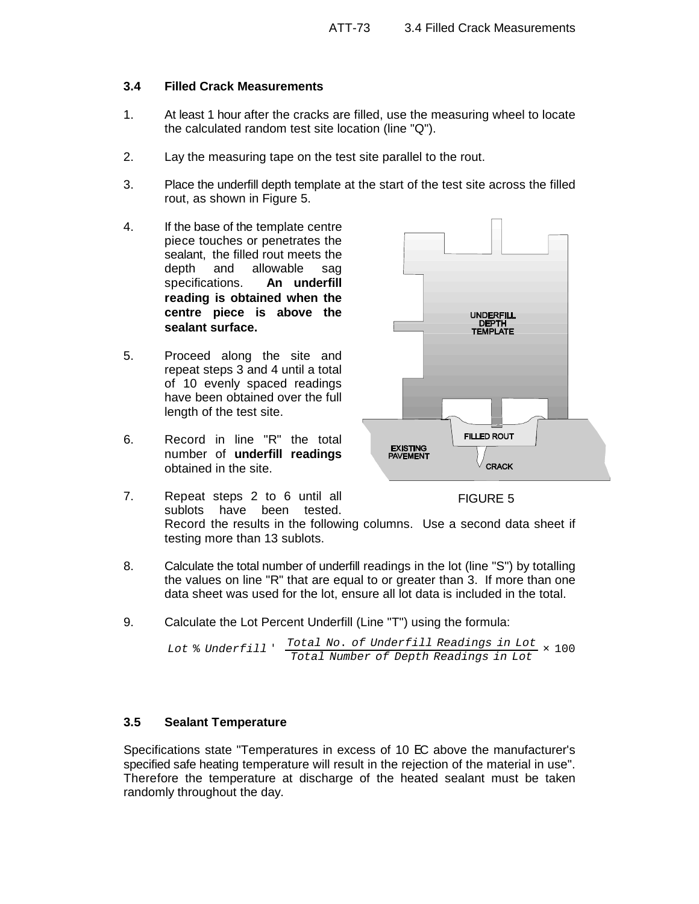#### **3.4 Filled Crack Measurements**

- 1. At least 1 hour after the cracks are filled, use the measuring wheel to locate the calculated random test site location (line "Q").
- 2. Lay the measuring tape on the test site parallel to the rout.
- 3. Place the underfill depth template at the start of the test site across the filled rout, as shown in Figure 5.
- 4. If the base of the template centre piece touches or penetrates the sealant, the filled rout meets the depth and allowable sag specifications. **An underfill reading is obtained when the centre piece is above the sealant surface.**
- 5. Proceed along the site and repeat steps 3 and 4 until a total of 10 evenly spaced readings have been obtained over the full length of the test site.
- 6. Record in line "R" the total number of **underfill readings** obtained in the site.
- 7. Repeat steps 2 to 6 until all sublots have been tested.



FIGURE 5

Record the results in the following columns. Use a second data sheet if testing more than 13 sublots.

- 8. Calculate the total number of underfill readings in the lot (line "S") by totalling the values on line "R" that are equal to or greater than 3. If more than one data sheet was used for the lot, ensure all lot data is included in the total.
- 9. Calculate the Lot Percent Underfill (Line "T") using the formula:

```
Lot % Underfill '
                  Total No. of Underfill Readings in Lot
× 100
                  Total Number of Depth Readings in Lot
```
#### **3.5 Sealant Temperature**

Specifications state "Temperatures in excess of 10 EC above the manufacturer's specified safe heating temperature will result in the rejection of the material in use". Therefore the temperature at discharge of the heated sealant must be taken randomly throughout the day.